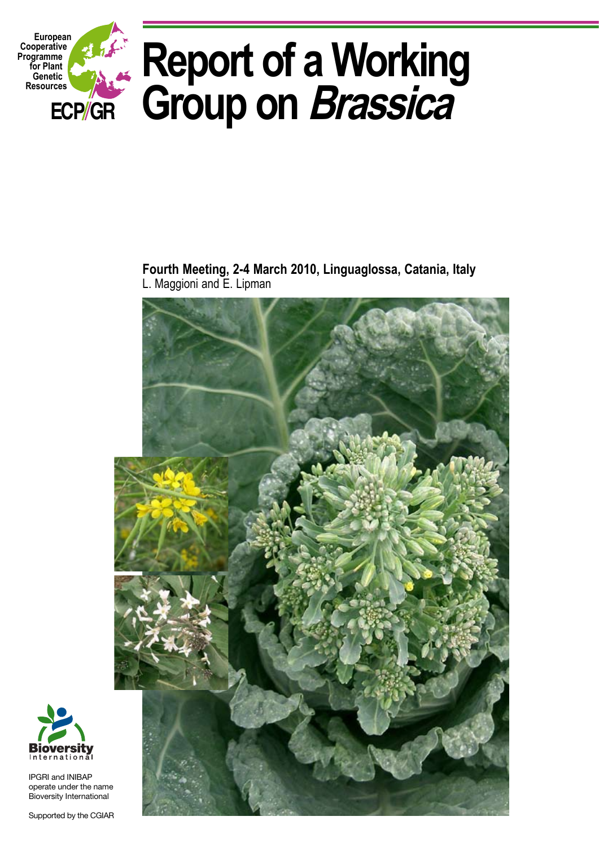

**Fourth Meeting, 2-4 March 2010, Linguaglossa, Catania, Italy**  L. Maggioni and E. Lipman





IPGRI and INIBAP operate under the name Bioversity International

Supported by the CGIAR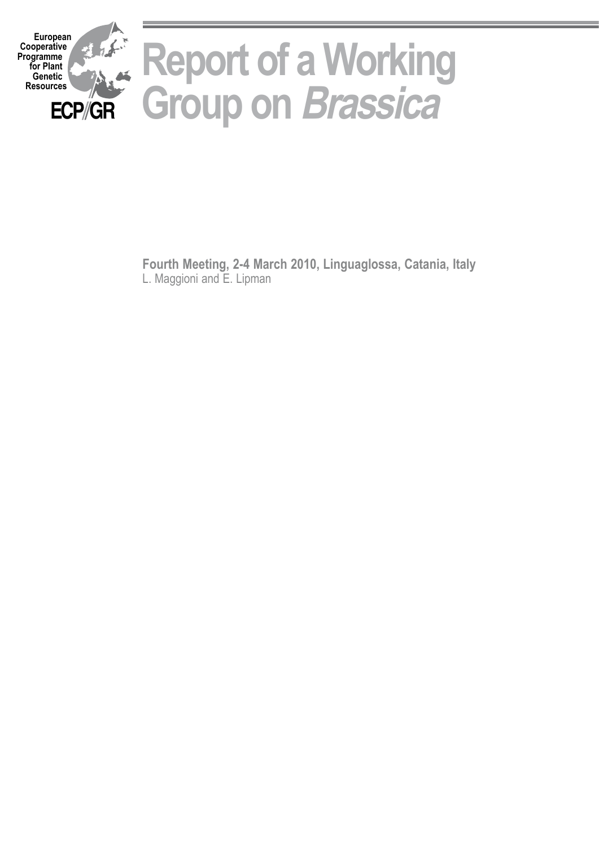

**Fourth Meeting, 2-4 March 2010, Linguaglossa, Catania, Italy**  L. Maggioni and E. Lipman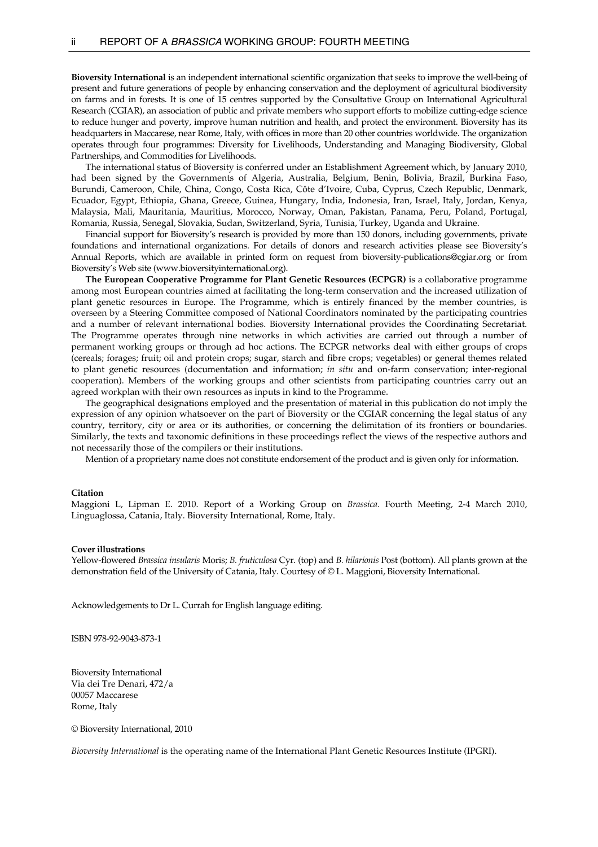**Bioversity International** is an independent international scientific organization that seeks to improve the well-being of present and future generations of people by enhancing conservation and the deployment of agricultural biodiversity on farms and in forests. It is one of 15 centres supported by the Consultative Group on International Agricultural Research (CGIAR), an association of public and private members who support efforts to mobilize cutting-edge science to reduce hunger and poverty, improve human nutrition and health, and protect the environment. Bioversity has its headquarters in Maccarese, near Rome, Italy, with offices in more than 20 other countries worldwide. The organization operates through four programmes: Diversity for Livelihoods, Understanding and Managing Biodiversity, Global Partnerships, and Commodities for Livelihoods.

 The international status of Bioversity is conferred under an Establishment Agreement which, by January 2010, had been signed by the Governments of Algeria, Australia, Belgium, Benin, Bolivia, Brazil, Burkina Faso, Burundi, Cameroon, Chile, China, Congo, Costa Rica, Côte d'Ivoire, Cuba, Cyprus, Czech Republic, Denmark, Ecuador, Egypt, Ethiopia, Ghana, Greece, Guinea, Hungary, India, Indonesia, Iran, Israel, Italy, Jordan, Kenya, Malaysia, Mali, Mauritania, Mauritius, Morocco, Norway, Oman, Pakistan, Panama, Peru, Poland, Portugal, Romania, Russia, Senegal, Slovakia, Sudan, Switzerland, Syria, Tunisia, Turkey, Uganda and Ukraine.

 Financial support for Bioversity's research is provided by more than 150 donors, including governments, private foundations and international organizations. For details of donors and research activities please see Bioversity's Annual Reports, which are available in printed form on request from bioversity-publications@cgiar.org or from Bioversity's Web site (www.bioversityinternational.org).

 **The European Cooperative Programme for Plant Genetic Resources (ECPGR)** is a collaborative programme among most European countries aimed at facilitating the long-term conservation and the increased utilization of plant genetic resources in Europe. The Programme, which is entirely financed by the member countries, is overseen by a Steering Committee composed of National Coordinators nominated by the participating countries and a number of relevant international bodies. Bioversity International provides the Coordinating Secretariat. The Programme operates through nine networks in which activities are carried out through a number of permanent working groups or through ad hoc actions. The ECPGR networks deal with either groups of crops (cereals; forages; fruit; oil and protein crops; sugar, starch and fibre crops; vegetables) or general themes related to plant genetic resources (documentation and information; *in situ* and on-farm conservation; inter-regional cooperation). Members of the working groups and other scientists from participating countries carry out an agreed workplan with their own resources as inputs in kind to the Programme.

 The geographical designations employed and the presentation of material in this publication do not imply the expression of any opinion whatsoever on the part of Bioversity or the CGIAR concerning the legal status of any country, territory, city or area or its authorities, or concerning the delimitation of its frontiers or boundaries. Similarly, the texts and taxonomic definitions in these proceedings reflect the views of the respective authors and not necessarily those of the compilers or their institutions.

Mention of a proprietary name does not constitute endorsement of the product and is given only for information.

#### **Citation**

Maggioni L, Lipman E. 2010. Report of a Working Group on *Brassica.* Fourth Meeting, 2-4 March 2010, Linguaglossa, Catania, Italy. Bioversity International, Rome, Italy.

#### **Cover illustrations**

Yellow-flowered *Brassica insularis* Moris; *B. fruticulosa* Cyr. (top) and *B. hilarionis* Post (bottom). All plants grown at the demonstration field of the University of Catania, Italy. Courtesy of © L. Maggioni, Bioversity International.

Acknowledgements to Dr L. Currah for English language editing.

ISBN 978-92-9043-873-1

Bioversity International Via dei Tre Denari, 472/a 00057 Maccarese Rome, Italy

© Bioversity International, 2010

*Bioversity International* is the operating name of the International Plant Genetic Resources Institute (IPGRI).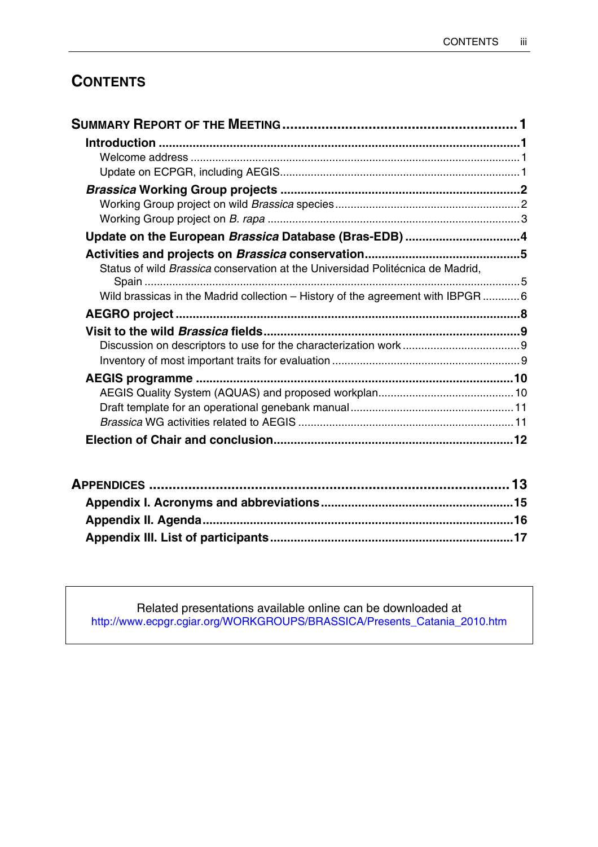# **CONTENTS**

| Update on the European Brassica Database (Bras-EDB) 4                           |  |
|---------------------------------------------------------------------------------|--|
|                                                                                 |  |
| Status of wild Brassica conservation at the Universidad Politécnica de Madrid,  |  |
| Wild brassicas in the Madrid collection - History of the agreement with IBPGR 6 |  |
|                                                                                 |  |
|                                                                                 |  |
|                                                                                 |  |
|                                                                                 |  |
|                                                                                 |  |
|                                                                                 |  |
|                                                                                 |  |
|                                                                                 |  |
|                                                                                 |  |

Related presentations available online can be downloaded at [http://www.ecpgr.cgiar.org/WORKGROUPS/BRASSICA/Presents\\_Catania\\_2010.htm](http://www.ecpgr.cgiar.org/WORKGROUPS/BRASSICA/Presents_Catania_2010.htm)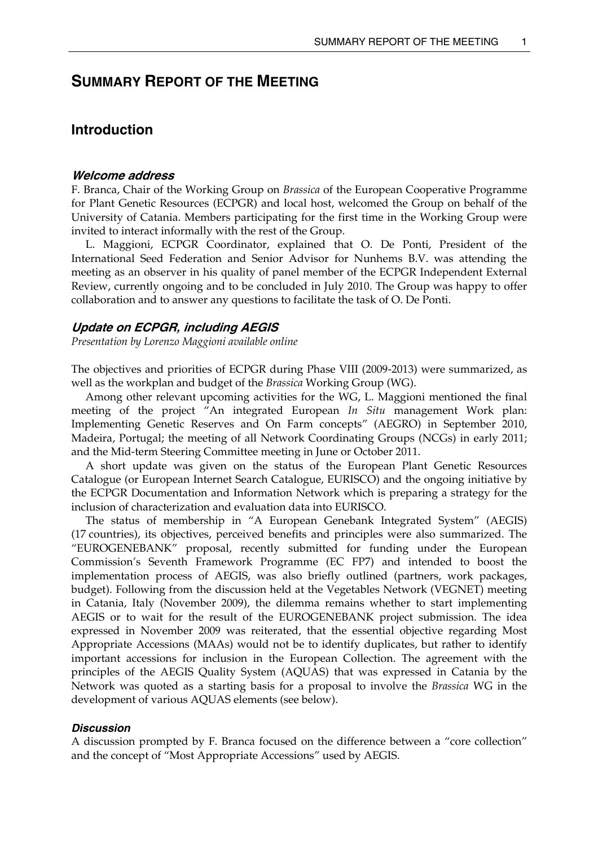# <span id="page-6-0"></span>**SUMMARY REPORT OF THE MEETING**

## **Introduction**

#### **Welcome address**

F. Branca, Chair of the Working Group on *Brassica* of the European Cooperative Programme for Plant Genetic Resources (ECPGR) and local host, welcomed the Group on behalf of the University of Catania. Members participating for the first time in the Working Group were invited to interact informally with the rest of the Group.

 L. Maggioni, ECPGR Coordinator, explained that O. De Ponti, President of the International Seed Federation and Senior Advisor for Nunhems B.V. was attending the meeting as an observer in his quality of panel member of the ECPGR Independent External Review, currently ongoing and to be concluded in July 2010. The Group was happy to offer collaboration and to answer any questions to facilitate the task of O. De Ponti.

### **Update on ECPGR, including AEGIS**

*Presentation by Lorenzo Maggioni available online* 

The objectives and priorities of ECPGR during Phase VIII (2009-2013) were summarized, as well as the workplan and budget of the *Brassica* Working Group (WG).

 Among other relevant upcoming activities for the WG, L. Maggioni mentioned the final meeting of the project "An integrated European *In Situ* management Work plan: Implementing Genetic Reserves and On Farm concepts" (AEGRO) in September 2010, Madeira, Portugal; the meeting of all Network Coordinating Groups (NCGs) in early 2011; and the Mid-term Steering Committee meeting in June or October 2011.

 A short update was given on the status of the European Plant Genetic Resources Catalogue (or European Internet Search Catalogue, EURISCO) and the ongoing initiative by the ECPGR Documentation and Information Network which is preparing a strategy for the inclusion of characterization and evaluation data into EURISCO.

 The status of membership in "A European Genebank Integrated System" (AEGIS) (17 countries), its objectives, perceived benefits and principles were also summarized. The "EUROGENEBANK" proposal, recently submitted for funding under the European Commission's Seventh Framework Programme (EC FP7) and intended to boost the implementation process of AEGIS, was also briefly outlined (partners, work packages, budget). Following from the discussion held at the Vegetables Network (VEGNET) meeting in Catania, Italy (November 2009), the dilemma remains whether to start implementing AEGIS or to wait for the result of the EUROGENEBANK project submission. The idea expressed in November 2009 was reiterated, that the essential objective regarding Most Appropriate Accessions (MAAs) would not be to identify duplicates, but rather to identify important accessions for inclusion in the European Collection. The agreement with the principles of the AEGIS Quality System (AQUAS) that was expressed in Catania by the Network was quoted as a starting basis for a proposal to involve the *Brassica* WG in the development of various AQUAS elements (see below).

#### *Discussion*

A discussion prompted by F. Branca focused on the difference between a "core collection" and the concept of "Most Appropriate Accessions" used by AEGIS.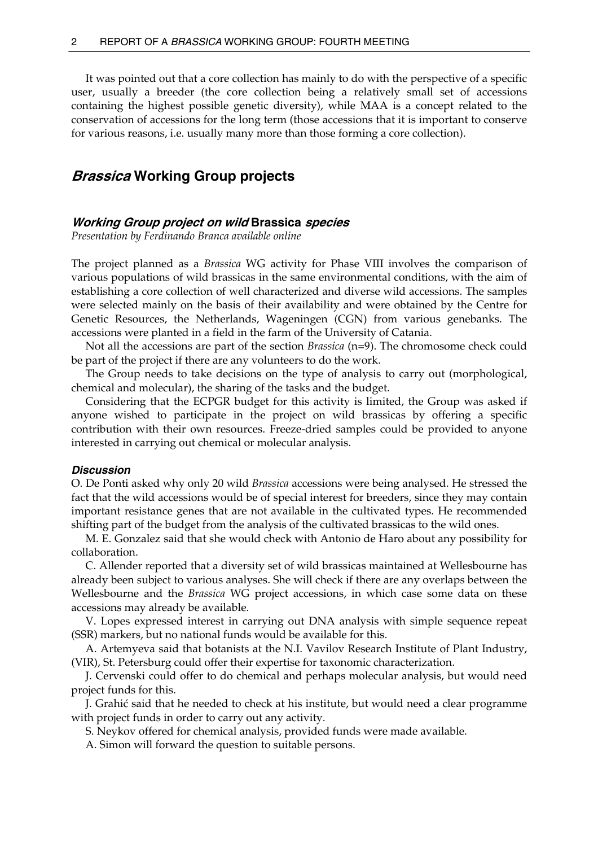<span id="page-7-0"></span> It was pointed out that a core collection has mainly to do with the perspective of a specific user, usually a breeder (the core collection being a relatively small set of accessions containing the highest possible genetic diversity), while MAA is a concept related to the conservation of accessions for the long term (those accessions that it is important to conserve for various reasons, i.e. usually many more than those forming a core collection).

## **Brassica Working Group projects**

#### **Working Group project on wild Brassica species**

*Presentation by Ferdinando Branca available online* 

The project planned as a *Brassica* WG activity for Phase VIII involves the comparison of various populations of wild brassicas in the same environmental conditions, with the aim of establishing a core collection of well characterized and diverse wild accessions. The samples were selected mainly on the basis of their availability and were obtained by the Centre for Genetic Resources, the Netherlands, Wageningen (CGN) from various genebanks. The accessions were planted in a field in the farm of the University of Catania.

 Not all the accessions are part of the section *Brassica* (n=9). The chromosome check could be part of the project if there are any volunteers to do the work.

 The Group needs to take decisions on the type of analysis to carry out (morphological, chemical and molecular), the sharing of the tasks and the budget.

 Considering that the ECPGR budget for this activity is limited, the Group was asked if anyone wished to participate in the project on wild brassicas by offering a specific contribution with their own resources. Freeze-dried samples could be provided to anyone interested in carrying out chemical or molecular analysis.

#### *Discussion*

O. De Ponti asked why only 20 wild *Brassica* accessions were being analysed. He stressed the fact that the wild accessions would be of special interest for breeders, since they may contain important resistance genes that are not available in the cultivated types. He recommended shifting part of the budget from the analysis of the cultivated brassicas to the wild ones.

 M. E. Gonzalez said that she would check with Antonio de Haro about any possibility for collaboration.

 C. Allender reported that a diversity set of wild brassicas maintained at Wellesbourne has already been subject to various analyses. She will check if there are any overlaps between the Wellesbourne and the *Brassica* WG project accessions, in which case some data on these accessions may already be available.

 V. Lopes expressed interest in carrying out DNA analysis with simple sequence repeat (SSR) markers, but no national funds would be available for this.

 A. Artemyeva said that botanists at the N.I. Vavilov Research Institute of Plant Industry, (VIR), St. Petersburg could offer their expertise for taxonomic characterization.

 J. Cervenski could offer to do chemical and perhaps molecular analysis, but would need project funds for this.

 J. Grahić said that he needed to check at his institute, but would need a clear programme with project funds in order to carry out any activity.

S. Neykov offered for chemical analysis, provided funds were made available.

A. Simon will forward the question to suitable persons.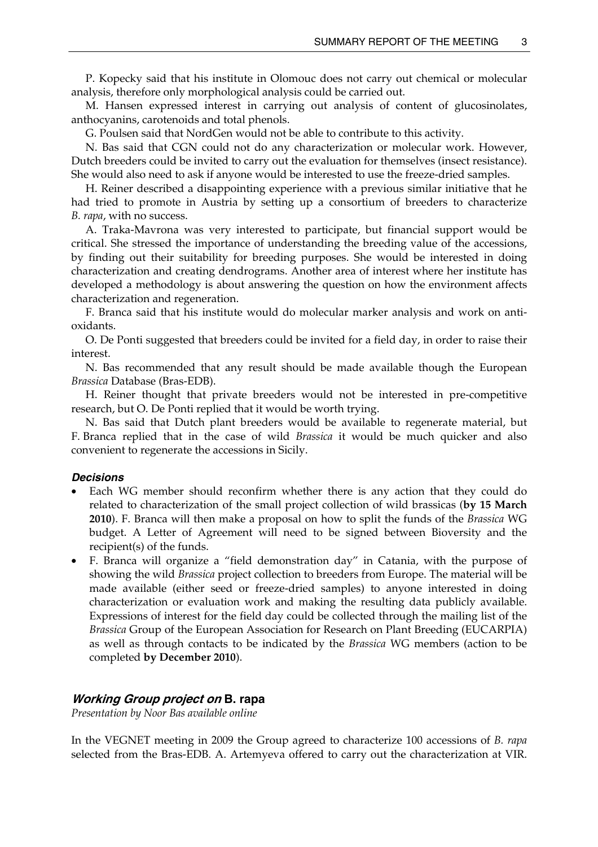<span id="page-8-0"></span> P. Kopecky said that his institute in Olomouc does not carry out chemical or molecular analysis, therefore only morphological analysis could be carried out.

 M. Hansen expressed interest in carrying out analysis of content of glucosinolates, anthocyanins, carotenoids and total phenols.

G. Poulsen said that NordGen would not be able to contribute to this activity.

 N. Bas said that CGN could not do any characterization or molecular work. However, Dutch breeders could be invited to carry out the evaluation for themselves (insect resistance). She would also need to ask if anyone would be interested to use the freeze-dried samples.

 H. Reiner described a disappointing experience with a previous similar initiative that he had tried to promote in Austria by setting up a consortium of breeders to characterize *B. rapa*, with no success.

 A. Traka-Mavrona was very interested to participate, but financial support would be critical. She stressed the importance of understanding the breeding value of the accessions, by finding out their suitability for breeding purposes. She would be interested in doing characterization and creating dendrograms. Another area of interest where her institute has developed a methodology is about answering the question on how the environment affects characterization and regeneration.

 F. Branca said that his institute would do molecular marker analysis and work on antioxidants.

 O. De Ponti suggested that breeders could be invited for a field day, in order to raise their interest.

 N. Bas recommended that any result should be made available though the European *Brassica* Database (Bras-EDB).

 H. Reiner thought that private breeders would not be interested in pre-competitive research, but O. De Ponti replied that it would be worth trying.

 N. Bas said that Dutch plant breeders would be available to regenerate material, but F. Branca replied that in the case of wild *Brassica* it would be much quicker and also convenient to regenerate the accessions in Sicily.

#### *Decisions*

- Each WG member should reconfirm whether there is any action that they could do related to characterization of the small project collection of wild brassicas (**by 15 March 2010**). F. Branca will then make a proposal on how to split the funds of the *Brassica* WG budget. A Letter of Agreement will need to be signed between Bioversity and the recipient(s) of the funds.
- F. Branca will organize a "field demonstration day" in Catania, with the purpose of showing the wild *Brassica* project collection to breeders from Europe. The material will be made available (either seed or freeze-dried samples) to anyone interested in doing characterization or evaluation work and making the resulting data publicly available. Expressions of interest for the field day could be collected through the mailing list of the *Brassica* Group of the European Association for Research on Plant Breeding (EUCARPIA) as well as through contacts to be indicated by the *Brassica* WG members (action to be completed **by December 2010**).

#### **Working Group project on B. rapa**

*Presentation by Noor Bas available online* 

In the VEGNET meeting in 2009 the Group agreed to characterize 100 accessions of *B. rapa* selected from the Bras-EDB. A. Artemyeva offered to carry out the characterization at VIR.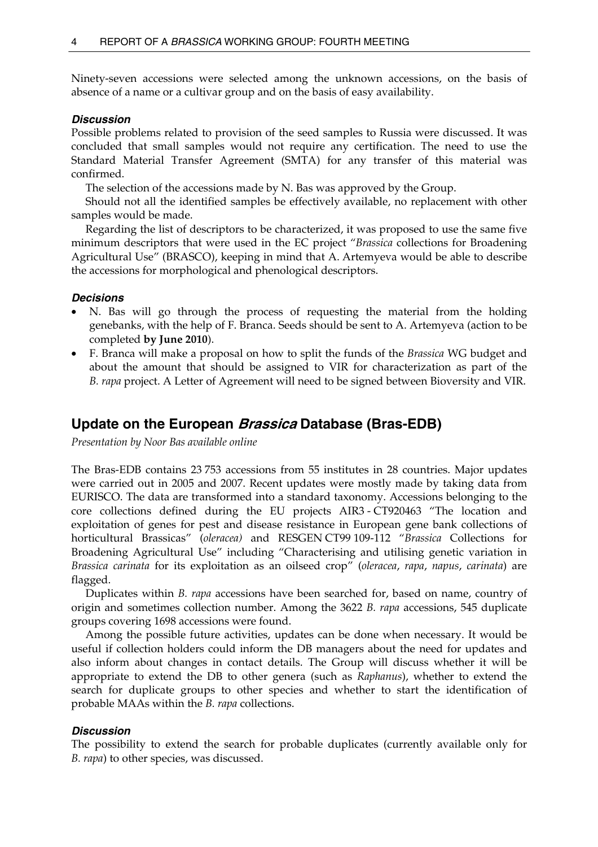<span id="page-9-0"></span>Ninety-seven accessions were selected among the unknown accessions, on the basis of absence of a name or a cultivar group and on the basis of easy availability.

### *Discussion*

Possible problems related to provision of the seed samples to Russia were discussed. It was concluded that small samples would not require any certification. The need to use the Standard Material Transfer Agreement (SMTA) for any transfer of this material was confirmed.

The selection of the accessions made by N. Bas was approved by the Group.

 Should not all the identified samples be effectively available, no replacement with other samples would be made.

 Regarding the list of descriptors to be characterized, it was proposed to use the same five minimum descriptors that were used in the EC project "*Brassica* collections for Broadening Agricultural Use" (BRASCO), keeping in mind that A. Artemyeva would be able to describe the accessions for morphological and phenological descriptors.

## *Decisions*

- N. Bas will go through the process of requesting the material from the holding genebanks, with the help of F. Branca. Seeds should be sent to A. Artemyeva (action to be completed **by June 2010**).
- F. Branca will make a proposal on how to split the funds of the *Brassica* WG budget and about the amount that should be assigned to VIR for characterization as part of the *B. rapa* project. A Letter of Agreement will need to be signed between Bioversity and VIR.

## **Update on the European Brassica Database (Bras-EDB)**

*Presentation by Noor Bas available online* 

The Bras-EDB contains 23 753 accessions from 55 institutes in 28 countries. Major updates were carried out in 2005 and 2007. Recent updates were mostly made by taking data from EURISCO. The data are transformed into a standard taxonomy. Accessions belonging to the core collections defined during the EU projects AIR3 - CT920463 "The location and exploitation of genes for pest and disease resistance in European gene bank collections of horticultural Brassicas" (*oleracea)* and RESGEN CT99 109-112 "*Brassica* Collections for Broadening Agricultural Use" including "Characterising and utilising genetic variation in *Brassica carinata* for its exploitation as an oilseed crop" (*oleracea*, *rapa*, *napus*, *carinata*) are flagged.

 Duplicates within *B. rapa* accessions have been searched for, based on name, country of origin and sometimes collection number. Among the 3622 *B. rapa* accessions, 545 duplicate groups covering 1698 accessions were found.

 Among the possible future activities, updates can be done when necessary. It would be useful if collection holders could inform the DB managers about the need for updates and also inform about changes in contact details. The Group will discuss whether it will be appropriate to extend the DB to other genera (such as *Raphanus*), whether to extend the search for duplicate groups to other species and whether to start the identification of probable MAAs within the *B. rapa* collections.

## *Discussion*

The possibility to extend the search for probable duplicates (currently available only for *B. rapa*) to other species, was discussed.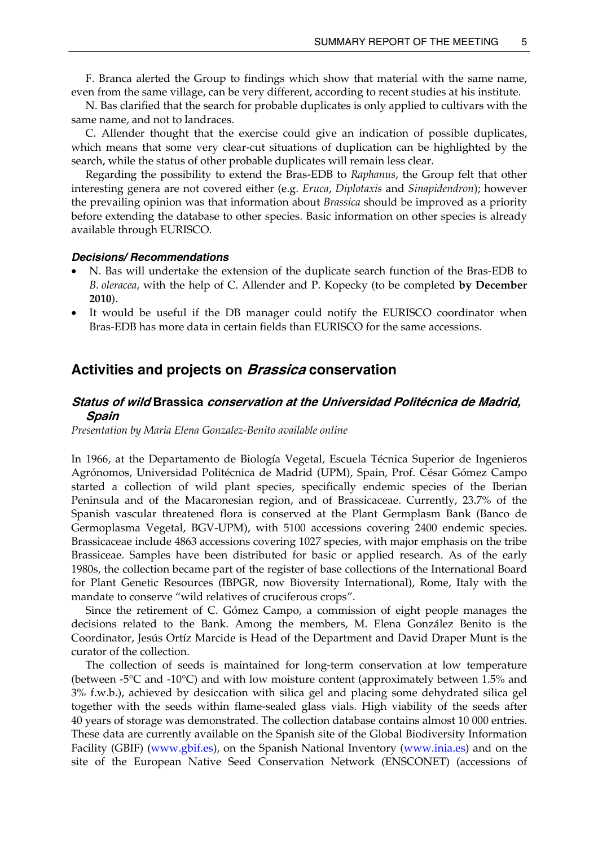<span id="page-10-0"></span> F. Branca alerted the Group to findings which show that material with the same name, even from the same village, can be very different, according to recent studies at his institute.

 N. Bas clarified that the search for probable duplicates is only applied to cultivars with the same name, and not to landraces.

 C. Allender thought that the exercise could give an indication of possible duplicates, which means that some very clear-cut situations of duplication can be highlighted by the search, while the status of other probable duplicates will remain less clear.

 Regarding the possibility to extend the Bras-EDB to *Raphanus*, the Group felt that other interesting genera are not covered either (e.g. *Eruca*, *Diplotaxis* and *Sinapidendron*); however the prevailing opinion was that information about *Brassica* should be improved as a priority before extending the database to other species. Basic information on other species is already available through EURISCO.

#### *Decisions/ Recommendations*

- N. Bas will undertake the extension of the duplicate search function of the Bras-EDB to *B. oleracea*, with the help of C. Allender and P. Kopecky (to be completed **by December 2010**).
- It would be useful if the DB manager could notify the EURISCO coordinator when Bras-EDB has more data in certain fields than EURISCO for the same accessions.

## **Activities and projects on Brassica conservation**

## **Status of wild Brassica conservation at the Universidad Politécnica de Madrid, Spain**

*Presentation by Maria Elena Gonzalez-Benito available online* 

In 1966, at the Departamento de Biología Vegetal, Escuela Técnica Superior de Ingenieros Agrónomos, Universidad Politécnica de Madrid (UPM), Spain, Prof. César Gómez Campo started a collection of wild plant species, specifically endemic species of the Iberian Peninsula and of the Macaronesian region, and of Brassicaceae. Currently, 23.7% of the Spanish vascular threatened flora is conserved at the Plant Germplasm Bank (Banco de Germoplasma Vegetal, BGV-UPM), with 5100 accessions covering 2400 endemic species. Brassicaceae include 4863 accessions covering 1027 species, with major emphasis on the tribe Brassiceae. Samples have been distributed for basic or applied research. As of the early 1980s, the collection became part of the register of base collections of the International Board for Plant Genetic Resources (IBPGR, now Bioversity International), Rome, Italy with the mandate to conserve "wild relatives of cruciferous crops".

 Since the retirement of C. Gómez Campo, a commission of eight people manages the decisions related to the Bank. Among the members, M. Elena González Benito is the Coordinator, Jesús Ortíz Marcide is Head of the Department and David Draper Munt is the curator of the collection.

 The collection of seeds is maintained for long-term conservation at low temperature (between  $-5^{\circ}$ C and  $-10^{\circ}$ C) and with low moisture content (approximately between 1.5% and 3% f.w.b.), achieved by desiccation with silica gel and placing some dehydrated silica gel together with the seeds within flame-sealed glass vials. High viability of the seeds after 40 years of storage was demonstrated. The collection database contains almost 10 000 entries. These data are currently available on the Spanish site of the Global Biodiversity Information Facility (GBIF) [\(www.gbif.es](http://www.gbif.es/)), on the Spanish National Inventory ([www.inia.es](http://www.inia.es/)) and on the site of the European Native Seed Conservation Network (ENSCONET) (accessions of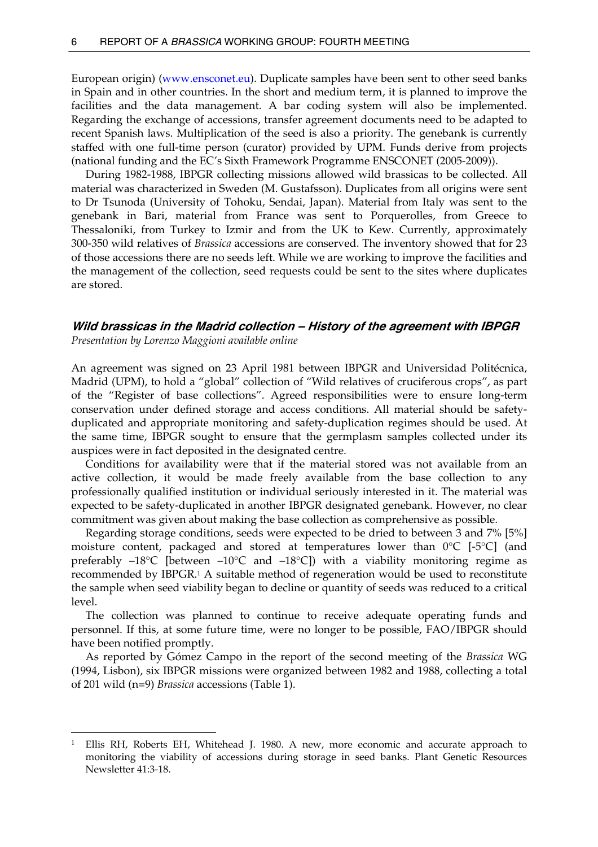<span id="page-11-0"></span>European origin) ([www.ensconet.eu](http://www.ensconet.eu/)). Duplicate samples have been sent to other seed banks in Spain and in other countries. In the short and medium term, it is planned to improve the facilities and the data management. A bar coding system will also be implemented. Regarding the exchange of accessions, transfer agreement documents need to be adapted to recent Spanish laws. Multiplication of the seed is also a priority. The genebank is currently staffed with one full-time person (curator) provided by UPM. Funds derive from projects (national funding and the EC's Sixth Framework Programme ENSCONET (2005-2009)).

 During 1982-1988, IBPGR collecting missions allowed wild brassicas to be collected. All material was characterized in Sweden (M. Gustafsson). Duplicates from all origins were sent to Dr Tsunoda (University of Tohoku, Sendai, Japan). Material from Italy was sent to the genebank in Bari, material from France was sent to Porquerolles, from Greece to Thessaloniki, from Turkey to Izmir and from the UK to Kew. Currently, approximately 300-350 wild relatives of *Brassica* accessions are conserved. The inventory showed that for 23 of those accessions there are no seeds left. While we are working to improve the facilities and the management of the collection, seed requests could be sent to the sites where duplicates are stored.

## **Wild brassicas in the Madrid collection – History of the agreement with IBPGR**  *Presentation by Lorenzo Maggioni available online*

An agreement was signed on 23 April 1981 between IBPGR and Universidad Politécnica, Madrid (UPM), to hold a "global" collection of "Wild relatives of cruciferous crops", as part of the "Register of base collections". Agreed responsibilities were to ensure long-term conservation under defined storage and access conditions. All material should be safetyduplicated and appropriate monitoring and safety-duplication regimes should be used. At the same time, IBPGR sought to ensure that the germplasm samples collected under its auspices were in fact deposited in the designated centre.

 Conditions for availability were that if the material stored was not available from an active collection, it would be made freely available from the base collection to any professionally qualified institution or individual seriously interested in it. The material was expected to be safety-duplicated in another IBPGR designated genebank. However, no clear commitment was given about making the base collection as comprehensive as possible.

 Regarding storage conditions, seeds were expected to be dried to between 3 and 7% [5%] moisture content, packaged and stored at temperatures lower than  $0^{\circ}C$  [-5 $^{\circ}C$ ] (and preferably  $-18^{\circ}$ C [between  $-10^{\circ}$ C and  $-18^{\circ}$ C]) with a viability monitoring regime as recommended by IBPGR.[1](#page-11-1) A suitable method of regeneration would be used to reconstitute the sample when seed viability began to decline or quantity of seeds was reduced to a critical level.

 The collection was planned to continue to receive adequate operating funds and personnel. If this, at some future time, were no longer to be possible, FAO/IBPGR should have been notified promptly.

 As reported by Gómez Campo in the report of the second meeting of the *Brassica* WG (1994, Lisbon), six IBPGR missions were organized between 1982 and 1988, collecting a total of 201 wild (n=9) *Brassica* accessions (Table 1).

 $\overline{a}$ 

<span id="page-11-1"></span><sup>1</sup> Ellis RH, Roberts EH, Whitehead J. 1980. A new, more economic and accurate approach to monitoring the viability of accessions during storage in seed banks. Plant Genetic Resources Newsletter 41:3-18.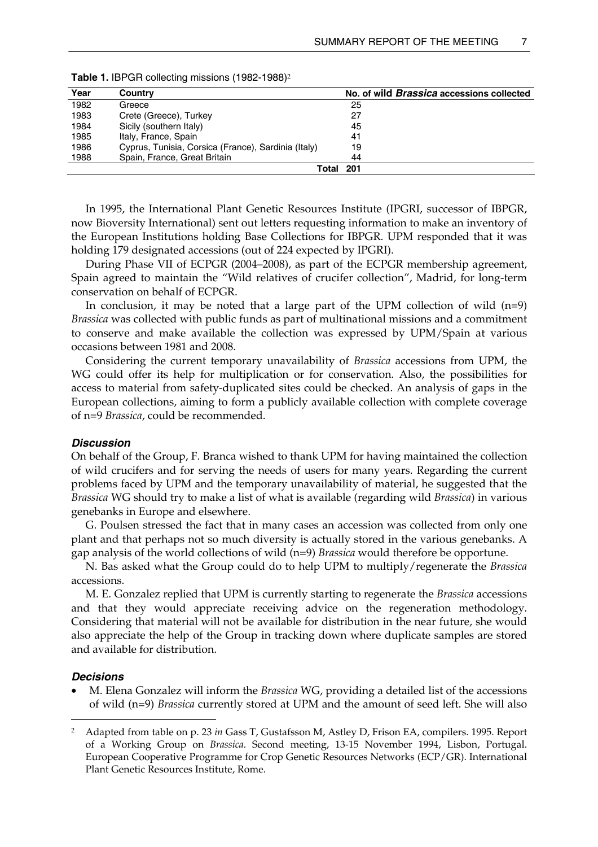| Year | Country                                             | No. of wild <i>Brassica</i> accessions collected |
|------|-----------------------------------------------------|--------------------------------------------------|
| 1982 | Greece                                              | 25                                               |
| 1983 | Crete (Greece), Turkey                              | 27                                               |
| 1984 | Sicily (southern Italy)                             | 45                                               |
| 1985 | Italy, France, Spain                                | 41                                               |
| 1986 | Cyprus, Tunisia, Corsica (France), Sardinia (Italy) | 19                                               |
| 1988 | Spain, France, Great Britain                        | 44                                               |
|      | Total                                               | 201                                              |

Table 1. IBPGR collecting missions (198[2](#page-12-0)-1988)<sup>2</sup>

 In 1995, the International Plant Genetic Resources Institute (IPGRI, successor of IBPGR, now Bioversity International) sent out letters requesting information to make an inventory of the European Institutions holding Base Collections for IBPGR. UPM responded that it was holding 179 designated accessions (out of 224 expected by IPGRI).

 During Phase VII of ECPGR (2004–2008), as part of the ECPGR membership agreement, Spain agreed to maintain the "Wild relatives of crucifer collection", Madrid, for long-term conservation on behalf of ECPGR.

In conclusion, it may be noted that a large part of the UPM collection of wild  $(n=9)$ *Brassica* was collected with public funds as part of multinational missions and a commitment to conserve and make available the collection was expressed by UPM/Spain at various occasions between 1981 and 2008.

 Considering the current temporary unavailability of *Brassica* accessions from UPM, the WG could offer its help for multiplication or for conservation. Also, the possibilities for access to material from safety-duplicated sites could be checked. An analysis of gaps in the European collections, aiming to form a publicly available collection with complete coverage of n=9 *Brassica*, could be recommended.

#### *Discussion*

On behalf of the Group, F. Branca wished to thank UPM for having maintained the collection of wild crucifers and for serving the needs of users for many years. Regarding the current problems faced by UPM and the temporary unavailability of material, he suggested that the *Brassica* WG should try to make a list of what is available (regarding wild *Brassica*) in various genebanks in Europe and elsewhere.

 G. Poulsen stressed the fact that in many cases an accession was collected from only one plant and that perhaps not so much diversity is actually stored in the various genebanks. A gap analysis of the world collections of wild (n=9) *Brassica* would therefore be opportune.

 N. Bas asked what the Group could do to help UPM to multiply/regenerate the *Brassica* accessions.

 M. E. Gonzalez replied that UPM is currently starting to regenerate the *Brassica* accessions and that they would appreciate receiving advice on the regeneration methodology. Considering that material will not be available for distribution in the near future, she would also appreciate the help of the Group in tracking down where duplicate samples are stored and available for distribution.

#### *Decisions*

 $\overline{a}$ 

• M. Elena Gonzalez will inform the *Brassica* WG, providing a detailed list of the accessions of wild (n=9) *Brassica* currently stored at UPM and the amount of seed left. She will also

<span id="page-12-0"></span><sup>2</sup> Adapted from table on p. 23 *in* Gass T, Gustafsson M, Astley D, Frison EA, compilers. 1995. Report of a Working Group on *Brassica*. Second meeting, 13-15 November 1994, Lisbon, Portugal. European Cooperative Programme for Crop Genetic Resources Networks (ECP/GR). International Plant Genetic Resources Institute, Rome.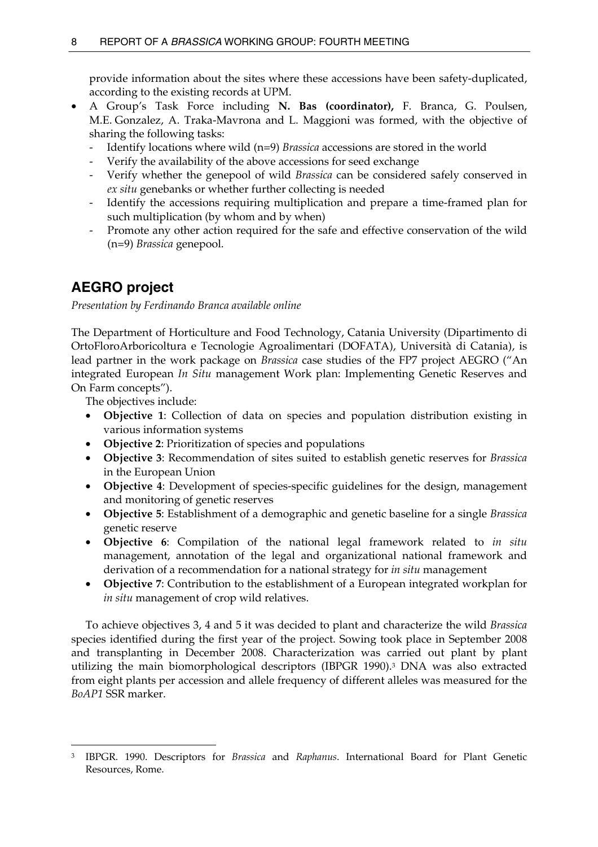<span id="page-13-0"></span>provide information about the sites where these accessions have been safety-duplicated, according to the existing records at UPM.

- A Group's Task Force including **N. Bas (coordinator),** F. Branca, G. Poulsen, M.E. Gonzalez, A. Traka-Mavrona and L. Maggioni was formed, with the objective of sharing the following tasks:
	- Identify locations where wild (n=9) *Brassica* accessions are stored in the world
	- Verify the availability of the above accessions for seed exchange
	- Verify whether the genepool of wild *Brassica* can be considered safely conserved in *ex situ* genebanks or whether further collecting is needed
	- Identify the accessions requiring multiplication and prepare a time-framed plan for such multiplication (by whom and by when)
	- Promote any other action required for the safe and effective conservation of the wild (n=9) *Brassica* genepool.

# **AEGRO project**

*Presentation by Ferdinando Branca available online* 

The Department of Horticulture and Food Technology, Catania University (Dipartimento di OrtoFloroArboricoltura e Tecnologie Agroalimentari (DOFATA), Università di Catania), is lead partner in the work package on *Brassica* case studies of the FP7 project AEGRO ("An integrated European *In Situ* management Work plan: Implementing Genetic Reserves and On Farm concepts").

The objectives include:

- **Objective 1**: Collection of data on species and population distribution existing in various information systems
- **Objective 2**: Prioritization of species and populations
- **Objective 3**: Recommendation of sites suited to establish genetic reserves for *Brassica* in the European Union
- **Objective 4**: Development of species-specific guidelines for the design, management and monitoring of genetic reserves
- **Objective 5**: Establishment of a demographic and genetic baseline for a single *Brassica* genetic reserve
- **Objective 6**: Compilation of the national legal framework related to *in situ* management, annotation of the legal and organizational national framework and derivation of a recommendation for a national strategy for *in situ* management
- **Objective 7**: Contribution to the establishment of a European integrated workplan for *in situ* management of crop wild relatives.

 To achieve objectives 3, 4 and 5 it was decided to plant and characterize the wild *Brassica* species identified during the first year of the project. Sowing took place in September 2008 and transplanting in December 2008. Characterization was carried out plant by plant utilizing the main biomorphological descriptors (IBPGR 1990)[.3](#page-13-1) DNA was also extracted from eight plants per accession and allele frequency of different alleles was measured for the *BoAP1* SSR marker.

<span id="page-13-1"></span> $\overline{a}$ 3 IBPGR. 1990. Descriptors for *Brassica* and *Raphanus*. International Board for Plant Genetic Resources, Rome.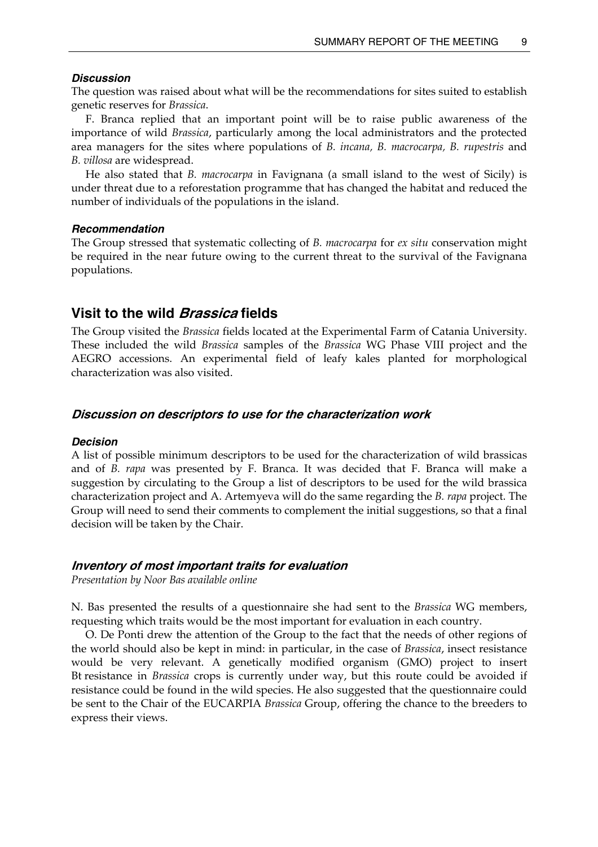#### <span id="page-14-0"></span>*Discussion*

The question was raised about what will be the recommendations for sites suited to establish genetic reserves for *Brassica*.

 F. Branca replied that an important point will be to raise public awareness of the importance of wild *Brassica*, particularly among the local administrators and the protected area managers for the sites where populations of *B. incana, B. macrocarpa, B. rupestris* and *B. villosa* are widespread.

 He also stated that *B. macrocarpa* in Favignana (a small island to the west of Sicily) is under threat due to a reforestation programme that has changed the habitat and reduced the number of individuals of the populations in the island.

#### *Recommendation*

The Group stressed that systematic collecting of *B. macrocarpa* for *ex situ* conservation might be required in the near future owing to the current threat to the survival of the Favignana populations.

## **Visit to the wild Brassica fields**

The Group visited the *Brassica* fields located at the Experimental Farm of Catania University. These included the wild *Brassica* samples of the *Brassica* WG Phase VIII project and the AEGRO accessions. An experimental field of leafy kales planted for morphological characterization was also visited.

#### **Discussion on descriptors to use for the characterization work**

#### *Decision*

A list of possible minimum descriptors to be used for the characterization of wild brassicas and of *B. rapa* was presented by F. Branca. It was decided that F. Branca will make a suggestion by circulating to the Group a list of descriptors to be used for the wild brassica characterization project and A. Artemyeva will do the same regarding the *B. rapa* project. The Group will need to send their comments to complement the initial suggestions, so that a final decision will be taken by the Chair.

### **Inventory of most important traits for evaluation**

*Presentation by Noor Bas available online* 

N. Bas presented the results of a questionnaire she had sent to the *Brassica* WG members, requesting which traits would be the most important for evaluation in each country.

 O. De Ponti drew the attention of the Group to the fact that the needs of other regions of the world should also be kept in mind: in particular, in the case of *Brassica*, insect resistance would be very relevant. A genetically modified organism (GMO) project to insert Bt resistance in *Brassica* crops is currently under way, but this route could be avoided if resistance could be found in the wild species. He also suggested that the questionnaire could be sent to the Chair of the EUCARPIA *Brassica* Group, offering the chance to the breeders to express their views.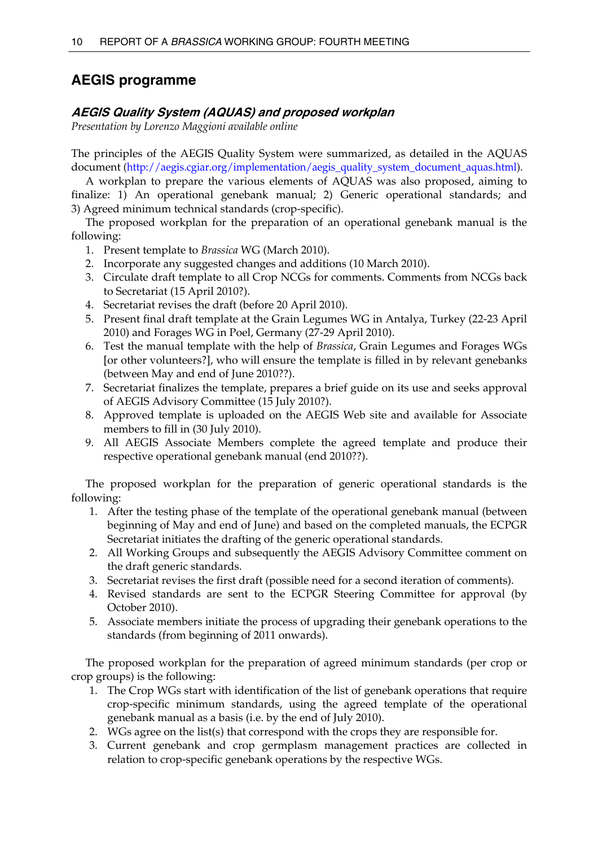# <span id="page-15-0"></span>**AEGIS programme**

## **AEGIS Quality System (AQUAS) and proposed workplan**

*Presentation by Lorenzo Maggioni available online* 

The principles of the AEGIS Quality System were summarized, as detailed in the AQUAS document [\(http://aegis.cgiar.org/implementation/aegis\\_quality\\_system\\_document\\_aquas.html](http://aegis.cgiar.org/implementation/aegis_quality_system_document_aquas.html)).

 A workplan to prepare the various elements of AQUAS was also proposed, aiming to finalize: 1) An operational genebank manual; 2) Generic operational standards; and 3) Agreed minimum technical standards (crop-specific).

 The proposed workplan for the preparation of an operational genebank manual is the following:

- 1. Present template to *Brassica* WG (March 2010).
- 2. Incorporate any suggested changes and additions (10 March 2010).
- 3. Circulate draft template to all Crop NCGs for comments. Comments from NCGs back to Secretariat (15 April 2010?).
- 4. Secretariat revises the draft (before 20 April 2010).
- 5. Present final draft template at the Grain Legumes WG in Antalya, Turkey (22-23 April 2010) and Forages WG in Poel, Germany (27-29 April 2010).
- 6. Test the manual template with the help of *Brassica*, Grain Legumes and Forages WGs [or other volunteers?], who will ensure the template is filled in by relevant genebanks (between May and end of June 2010??).
- 7. Secretariat finalizes the template, prepares a brief guide on its use and seeks approval of AEGIS Advisory Committee (15 July 2010?).
- 8. Approved template is uploaded on the AEGIS Web site and available for Associate members to fill in (30 July 2010).
- 9. All AEGIS Associate Members complete the agreed template and produce their respective operational genebank manual (end 2010??).

 The proposed workplan for the preparation of generic operational standards is the following:

- 1. After the testing phase of the template of the operational genebank manual (between beginning of May and end of June) and based on the completed manuals, the ECPGR Secretariat initiates the drafting of the generic operational standards.
- 2. All Working Groups and subsequently the AEGIS Advisory Committee comment on the draft generic standards.
- 3. Secretariat revises the first draft (possible need for a second iteration of comments).
- 4. Revised standards are sent to the ECPGR Steering Committee for approval (by October 2010).
- 5. Associate members initiate the process of upgrading their genebank operations to the standards (from beginning of 2011 onwards).

 The proposed workplan for the preparation of agreed minimum standards (per crop or crop groups) is the following:

- 1. The Crop WGs start with identification of the list of genebank operations that require crop-specific minimum standards, using the agreed template of the operational genebank manual as a basis (i.e. by the end of July 2010).
- 2. WGs agree on the list(s) that correspond with the crops they are responsible for.
- 3. Current genebank and crop germplasm management practices are collected in relation to crop-specific genebank operations by the respective WGs.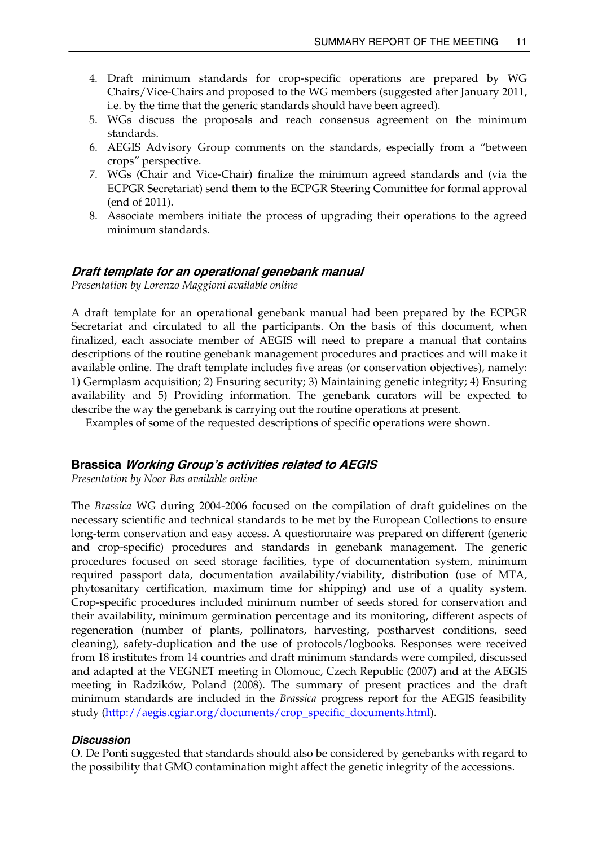- <span id="page-16-0"></span>4. Draft minimum standards for crop-specific operations are prepared by WG Chairs/Vice-Chairs and proposed to the WG members (suggested after January 2011, i.e. by the time that the generic standards should have been agreed).
- 5. WGs discuss the proposals and reach consensus agreement on the minimum standards.
- 6. AEGIS Advisory Group comments on the standards, especially from a "between crops" perspective.
- 7. WGs (Chair and Vice-Chair) finalize the minimum agreed standards and (via the ECPGR Secretariat) send them to the ECPGR Steering Committee for formal approval (end of 2011).
- 8. Associate members initiate the process of upgrading their operations to the agreed minimum standards.

### **Draft template for an operational genebank manual**

*Presentation by Lorenzo Maggioni available online* 

A draft template for an operational genebank manual had been prepared by the ECPGR Secretariat and circulated to all the participants. On the basis of this document, when finalized, each associate member of AEGIS will need to prepare a manual that contains descriptions of the routine genebank management procedures and practices and will make it available online. The draft template includes five areas (or conservation objectives), namely: 1) Germplasm acquisition; 2) Ensuring security; 3) Maintaining genetic integrity; 4) Ensuring availability and 5) Providing information. The genebank curators will be expected to describe the way the genebank is carrying out the routine operations at present.

Examples of some of the requested descriptions of specific operations were shown.

#### **Brassica Working Group's activities related to AEGIS**

*Presentation by Noor Bas available online* 

The *Brassica* WG during 2004-2006 focused on the compilation of draft guidelines on the necessary scientific and technical standards to be met by the European Collections to ensure long-term conservation and easy access. A questionnaire was prepared on different (generic and crop-specific) procedures and standards in genebank management. The generic procedures focused on seed storage facilities, type of documentation system, minimum required passport data, documentation availability/viability, distribution (use of MTA, phytosanitary certification, maximum time for shipping) and use of a quality system. Crop-specific procedures included minimum number of seeds stored for conservation and their availability, minimum germination percentage and its monitoring, different aspects of regeneration (number of plants, pollinators, harvesting, postharvest conditions, seed cleaning), safety-duplication and the use of protocols/logbooks. Responses were received from 18 institutes from 14 countries and draft minimum standards were compiled, discussed and adapted at the VEGNET meeting in Olomouc, Czech Republic (2007) and at the AEGIS meeting in Radzików, Poland (2008). The summary of present practices and the draft minimum standards are included in the *Brassica* progress report for the AEGIS feasibility study [\(http://aegis.cgiar.org/documents/crop\\_specific\\_documents.html\)](http://aegis.cgiar.org/documents/crop_specific_documents.html).

## *Discussion*

O. De Ponti suggested that standards should also be considered by genebanks with regard to the possibility that GMO contamination might affect the genetic integrity of the accessions.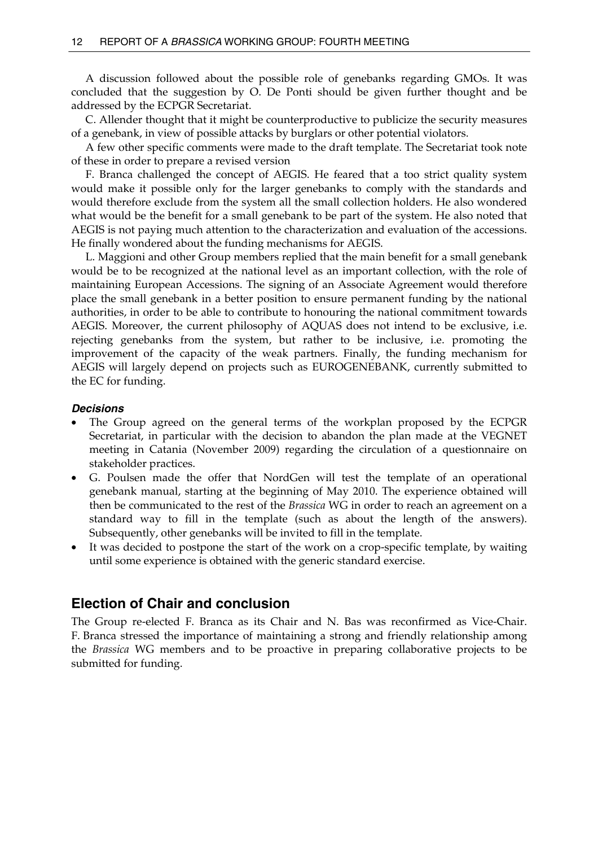<span id="page-17-0"></span> A discussion followed about the possible role of genebanks regarding GMOs. It was concluded that the suggestion by O. De Ponti should be given further thought and be addressed by the ECPGR Secretariat.

 C. Allender thought that it might be counterproductive to publicize the security measures of a genebank, in view of possible attacks by burglars or other potential violators.

 A few other specific comments were made to the draft template. The Secretariat took note of these in order to prepare a revised version

 F. Branca challenged the concept of AEGIS. He feared that a too strict quality system would make it possible only for the larger genebanks to comply with the standards and would therefore exclude from the system all the small collection holders. He also wondered what would be the benefit for a small genebank to be part of the system. He also noted that AEGIS is not paying much attention to the characterization and evaluation of the accessions. He finally wondered about the funding mechanisms for AEGIS.

 L. Maggioni and other Group members replied that the main benefit for a small genebank would be to be recognized at the national level as an important collection, with the role of maintaining European Accessions. The signing of an Associate Agreement would therefore place the small genebank in a better position to ensure permanent funding by the national authorities, in order to be able to contribute to honouring the national commitment towards AEGIS. Moreover, the current philosophy of AQUAS does not intend to be exclusive, i.e. rejecting genebanks from the system, but rather to be inclusive, i.e. promoting the improvement of the capacity of the weak partners. Finally, the funding mechanism for AEGIS will largely depend on projects such as EUROGENEBANK, currently submitted to the EC for funding.

#### *Decisions*

- The Group agreed on the general terms of the workplan proposed by the ECPGR Secretariat, in particular with the decision to abandon the plan made at the VEGNET meeting in Catania (November 2009) regarding the circulation of a questionnaire on stakeholder practices.
- G. Poulsen made the offer that NordGen will test the template of an operational genebank manual, starting at the beginning of May 2010. The experience obtained will then be communicated to the rest of the *Brassica* WG in order to reach an agreement on a standard way to fill in the template (such as about the length of the answers). Subsequently, other genebanks will be invited to fill in the template.
- It was decided to postpone the start of the work on a crop-specific template, by waiting until some experience is obtained with the generic standard exercise.

## **Election of Chair and conclusion**

The Group re-elected F. Branca as its Chair and N. Bas was reconfirmed as Vice-Chair. F. Branca stressed the importance of maintaining a strong and friendly relationship among the *Brassica* WG members and to be proactive in preparing collaborative projects to be submitted for funding.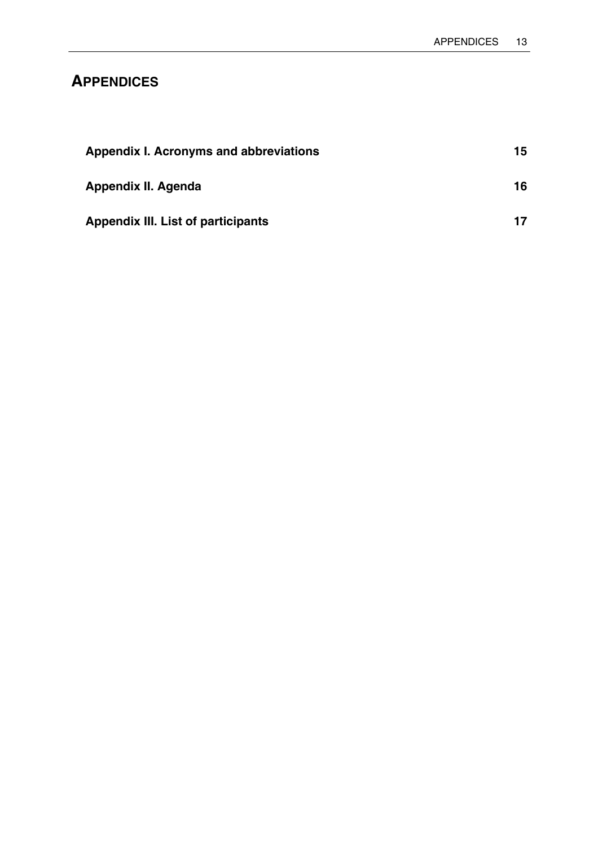# <span id="page-18-0"></span>**APPENDICES**

| Appendix I. Acronyms and abbreviations    | 15 |
|-------------------------------------------|----|
| Appendix II. Agenda                       | 16 |
| <b>Appendix III. List of participants</b> | 17 |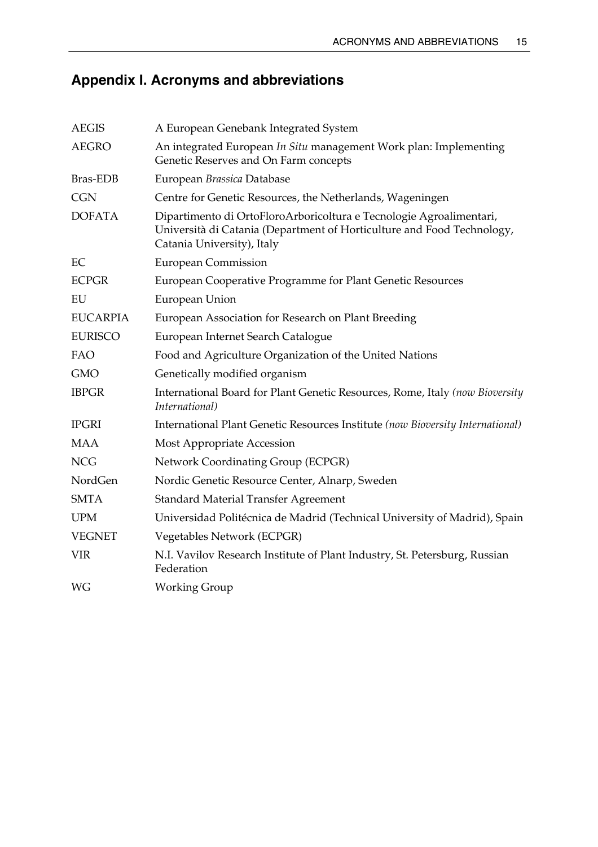# <span id="page-20-0"></span>**Appendix I. Acronyms and abbreviations**

| <b>AEGIS</b>    | A European Genebank Integrated System                                                                                                                                       |
|-----------------|-----------------------------------------------------------------------------------------------------------------------------------------------------------------------------|
| <b>AEGRO</b>    | An integrated European In Situ management Work plan: Implementing<br>Genetic Reserves and On Farm concepts                                                                  |
| <b>Bras-EDB</b> | European Brassica Database                                                                                                                                                  |
| <b>CGN</b>      | Centre for Genetic Resources, the Netherlands, Wageningen                                                                                                                   |
| <b>DOFATA</b>   | Dipartimento di OrtoFloroArboricoltura e Tecnologie Agroalimentari,<br>Università di Catania (Department of Horticulture and Food Technology,<br>Catania University), Italy |
| EC              | <b>European Commission</b>                                                                                                                                                  |
| <b>ECPGR</b>    | European Cooperative Programme for Plant Genetic Resources                                                                                                                  |
| EU              | European Union                                                                                                                                                              |
| <b>EUCARPIA</b> | European Association for Research on Plant Breeding                                                                                                                         |
| <b>EURISCO</b>  | European Internet Search Catalogue                                                                                                                                          |
| FAO             | Food and Agriculture Organization of the United Nations                                                                                                                     |
| <b>GMO</b>      | Genetically modified organism                                                                                                                                               |
| <b>IBPGR</b>    | International Board for Plant Genetic Resources, Rome, Italy (now Bioversity<br>International)                                                                              |
| <b>IPGRI</b>    | International Plant Genetic Resources Institute (now Bioversity International)                                                                                              |
| MAA             | Most Appropriate Accession                                                                                                                                                  |
| <b>NCG</b>      | Network Coordinating Group (ECPGR)                                                                                                                                          |
| NordGen         | Nordic Genetic Resource Center, Alnarp, Sweden                                                                                                                              |
| <b>SMTA</b>     | <b>Standard Material Transfer Agreement</b>                                                                                                                                 |
| <b>UPM</b>      | Universidad Politécnica de Madrid (Technical University of Madrid), Spain                                                                                                   |
| <b>VEGNET</b>   | Vegetables Network (ECPGR)                                                                                                                                                  |
| <b>VIR</b>      | N.I. Vavilov Research Institute of Plant Industry, St. Petersburg, Russian<br>Federation                                                                                    |
| WG              | Working Group                                                                                                                                                               |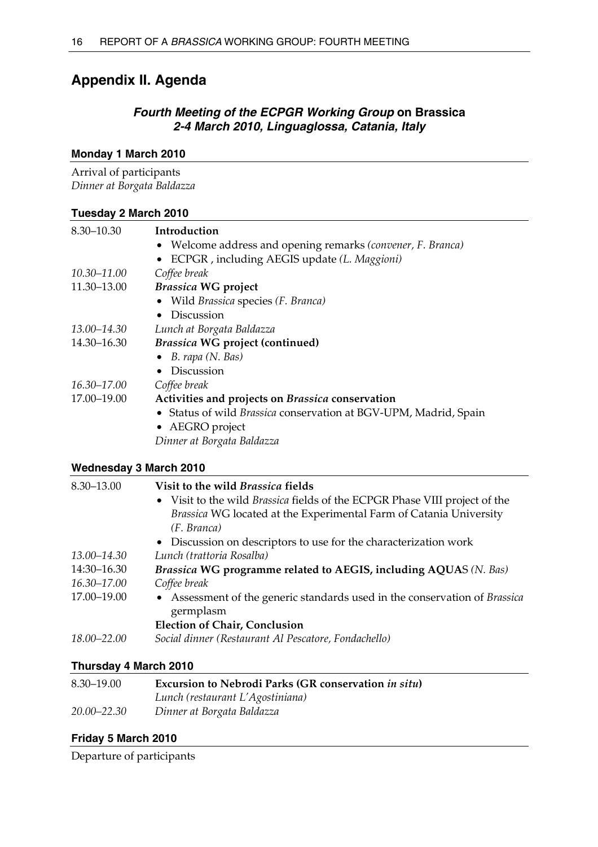# <span id="page-21-0"></span>**Appendix II. Agenda**

## *Fourth Meeting of the ECPGR Working Group* **on Brassica** *2-4 March 2010, Linguaglossa, Catania, Italy*

## **Monday 1 March 2010**

Arrival of participants *Dinner at Borgata Baldazza* 

## **Tuesday 2 March 2010**

| 8.30-10.30  | Introduction                                                            |
|-------------|-------------------------------------------------------------------------|
|             | Welcome address and opening remarks (convener, F. Branca)               |
|             | ECPGR, including AEGIS update (L. Maggioni)                             |
| 10.30-11.00 | Coffee break                                                            |
| 11.30-13.00 | <b>Brassica WG project</b>                                              |
|             | Wild Brassica species (F. Branca)                                       |
|             | Discussion                                                              |
| 13.00-14.30 | Lunch at Borgata Baldazza                                               |
| 14.30-16.30 | <b>Brassica WG project (continued)</b>                                  |
|             | $\bullet$ B. rapa (N. Bas)                                              |
|             | <b>Discussion</b><br>$\bullet$                                          |
| 16.30-17.00 | Coffee break                                                            |
| 17.00-19.00 | Activities and projects on Brassica conservation                        |
|             | • Status of wild <i>Brassica</i> conservation at BGV-UPM, Madrid, Spain |
|             | • AEGRO project                                                         |
|             | Dinner at Borgata Baldazza                                              |

## **Wednesday 3 March 2010**

| 8.30-13.00  | Visit to the wild Brassica fields                                                       |
|-------------|-----------------------------------------------------------------------------------------|
|             | • Visit to the wild Brassica fields of the ECPGR Phase VIII project of the              |
|             | Brassica WG located at the Experimental Farm of Catania University                      |
|             | (F. Branca)                                                                             |
|             | • Discussion on descriptors to use for the characterization work                        |
| 13.00–14.30 | Lunch (trattoria Rosalba)                                                               |
| 14:30-16.30 | Brassica WG programme related to AEGIS, including AQUAS (N. Bas)                        |
| 16.30-17.00 | Coffee break                                                                            |
| 17.00-19.00 | • Assessment of the generic standards used in the conservation of Brassica<br>germplasm |
|             | <b>Election of Chair, Conclusion</b>                                                    |
| 18.00-22.00 | Social dinner (Restaurant Al Pescatore, Fondachello)                                    |

## **Thursday 4 March 2010**

| $8.30 - 19.00$ | Excursion to Nebrodi Parks (GR conservation in situ) |
|----------------|------------------------------------------------------|
|                | Lunch (restaurant L'Agostiniana)                     |
| 20.00–22.30    | Dinner at Borgata Baldazza                           |

## **Friday 5 March 2010**

Departure of participants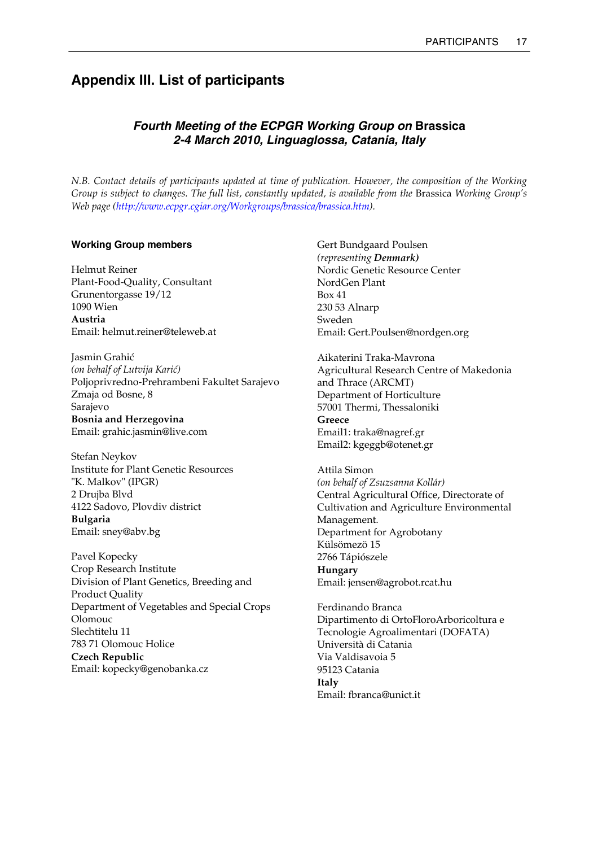# <span id="page-22-0"></span>**Appendix III. List of participants**

## *Fourth Meeting of the ECPGR Working Group on* **Brassica** *2-4 March 2010, Linguaglossa, Catania, Italy*

*N.B. Contact details of participants updated at time of publication. However, the composition of the Working Group is subject to changes. The full list, constantly updated, is available from the* Brassica *Working Group's Web page ([http://www.ecpgr.cgiar.org/Workgroups/brassica/brassica.htm\)](http://www.ecpgr.cgiar.org/Workgroups/brassica/brassica.htm).* 

### **Working Group members**

Helmut Reiner Plant-Food-Quality, Consultant Grunentorgasse 19/12 1090 Wien **Austria**  Email: helmut.reiner@teleweb.at

Jasmin Grahić *(on behalf of Lutvija Karić)*  Poljoprivredno-Prehrambeni Fakultet Sarajevo Zmaja od Bosne, 8 Sarajevo **Bosnia and Herzegovina**  Email: grahic.jasmin@live.com

Stefan Neykov Institute for Plant Genetic Resources "K. Malkov" (IPGR) 2 Drujba Blvd 4122 Sadovo, Plovdiv district **Bulgaria**  Email: sney@abv.bg

Pavel Kopecky Crop Research Institute Division of Plant Genetics, Breeding and Product Quality Department of Vegetables and Special Crops Olomouc Slechtitelu 11 783 71 Olomouc Holice **Czech Republic**  Email: kopecky@genobanka.cz

Gert Bundgaard Poulsen *(representing Denmark)* Nordic Genetic Resource Center NordGen Plant Box 41 230 53 Alnarp Sweden Email: Gert.Poulsen@nordgen.org

Aikaterini Traka-Mavrona Agricultural Research Centre of Makedonia and Thrace (ARCMT) Department of Horticulture 57001 Thermi, Thessaloniki **Greece**  Email1: traka@nagref.gr Email2: kgeggb@otenet.gr

Attila Simon *(on behalf of Zsuzsanna Kollár)*  Central Agricultural Office, Directorate of Cultivation and Agriculture Environmental Management. Department for Agrobotany Külsömezö 15 2766 Tápiószele **Hungary**  Email: jensen@agrobot.rcat.hu

Ferdinando Branca Dipartimento di OrtoFloroArboricoltura e Tecnologie Agroalimentari (DOFATA) Università di Catania Via Valdisavoia 5 95123 Catania **Italy**  Email: fbranca@unict.it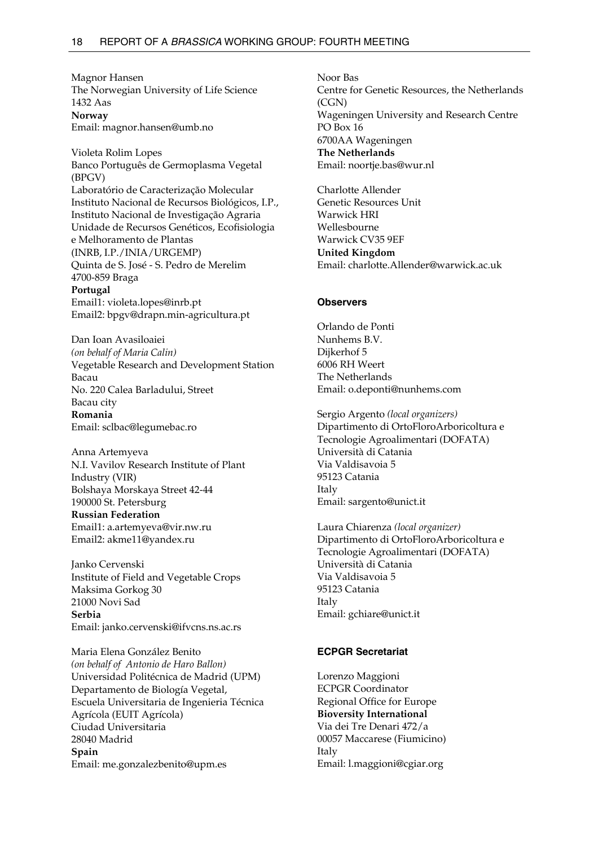Magnor Hansen The Norwegian University of Life Science 1432 Aas **Norway**  Email: magnor.hansen@umb.no

Violeta Rolim Lopes Banco Português de Germoplasma Vegetal (BPGV) Laboratório de Caracterização Molecular Instituto Nacional de Recursos Biológicos, I.P., Instituto Nacional de Investigação Agraria Unidade de Recursos Genéticos, Ecofisiologia e Melhoramento de Plantas (INRB, I.P./INIA/URGEMP) Quinta de S. José - S. Pedro de Merelim 4700-859 Braga **Portugal**  Email1: violeta.lopes@inrb.pt Email2: bpgv@drapn.min-agricultura.pt

Dan Ioan Avasiloaiei *(on behalf of Maria Calin)*  Vegetable Research and Development Station Bacau No. 220 Calea Barladului, Street Bacau city **Romania**  Email: sclbac@legumebac.ro

Anna Artemyeva N.I. Vavilov Research Institute of Plant Industry (VIR) Bolshaya Morskaya Street 42-44 190000 St. Petersburg **Russian Federation**  Email1: a.artemyeva@vir.nw.ru Email2: akme11@yandex.ru

Janko Cervenski Institute of Field and Vegetable Crops Maksima Gorkog 30 21000 Novi Sad **Serbia**  Email: janko.cervenski@ifvcns.ns.ac.rs

Maria Elena González Benito *(on behalf of Antonio de Haro Ballon)*  Universidad Politécnica de Madrid (UPM) Departamento de Biología Vegetal, Escuela Universitaria de Ingenieria Técnica Agrícola (EUIT Agrícola) Ciudad Universitaria 28040 Madrid **Spain**  Email: me.gonzalezbenito@upm.es

Noor Bas Centre for Genetic Resources, the Netherlands (CGN) Wageningen University and Research Centre PO Box 16 6700AA Wageningen **The Netherlands**  Email: noortje.bas@wur.nl

Charlotte Allender Genetic Resources Unit Warwick HRI Wellesbourne Warwick CV35 9EF **United Kingdom**  Email: charlotte.Allender@warwick.ac.uk

#### **Observers**

Orlando de Ponti Nunhems B.V. Dijkerhof 5 6006 RH Weert The Netherlands Email: o.deponti@nunhems.com

Sergio Argento *(local organizers)*  Dipartimento di OrtoFloroArboricoltura e Tecnologie Agroalimentari (DOFATA) Università di Catania Via Valdisavoia 5 95123 Catania Italy Email: sargento@unict.it

Laura Chiarenza *(local organizer)* Dipartimento di OrtoFloroArboricoltura e Tecnologie Agroalimentari (DOFATA) Università di Catania Via Valdisavoia 5 95123 Catania Italy Email: gchiare@unict.it

#### **ECPGR Secretariat**

Lorenzo Maggioni ECPGR Coordinator Regional Office for Europe **Bioversity International**  Via dei Tre Denari 472/a 00057 Maccarese (Fiumicino) Italy Email: l.maggioni@cgiar.org